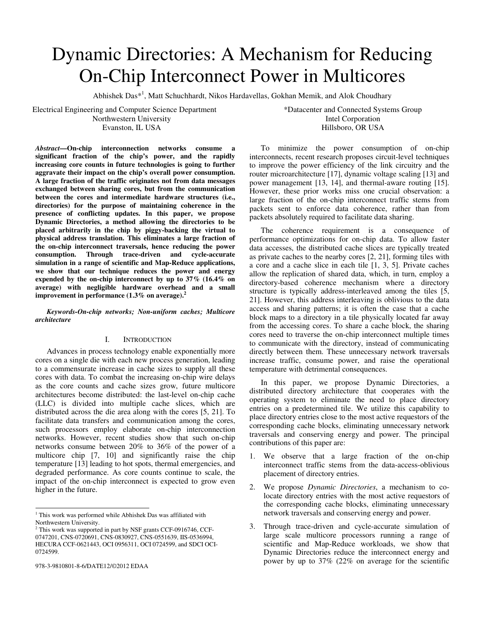# Dynamic Directories: A Mechanism for Reducing On-Chip Interconnect Power in Multicores

Abhishek Das<sup>\*1</sup>, Matt Schuchhardt, Nikos Hardavellas, Gokhan Memik, and Alok Choudhary

Electrical Engineering and Computer Science Department Northwestern University Evanston, IL USA

\*Datacenter and Connected Systems Group Intel Corporation Hillsboro, OR USA

*Abstract***—On-chip interconnection networks consume a significant fraction of the chip's power, and the rapidly increasing core counts in future technologies is going to further aggravate their impact on the chip's overall power consumption. A large fraction of the traffic originates not from data messages exchanged between sharing cores, but from the communication between the cores and intermediate hardware structures (i.e., directories) for the purpose of maintaining coherence in the presence of conflicting updates. In this paper, we propose Dynamic Directories, a method allowing the directories to be placed arbitrarily in the chip by piggy-backing the virtual to physical address translation. This eliminates a large fraction of the on-chip interconnect traversals, hence reducing the power consumption. Through trace-driven and cycle-accurate simulation in a range of scientific and Map-Reduce applications, we show that our technique reduces the power and energy expended by the on-chip interconnect by up to 37% (16.4% on average) with negligible hardware overhead and a small improvement in performance (1.3% on average).<sup>21</sup>**

*Keywords-On-chip networks; Non-uniform caches; Multicore architecture* 

# I. INTRODUCTION

Advances in process technology enable exponentially more cores on a single die with each new process generation, leading to a commensurate increase in cache sizes to supply all these cores with data. To combat the increasing on-chip wire delays as the core counts and cache sizes grow, future multicore architectures become distributed: the last-level on-chip cache (LLC) is divided into multiple cache slices, which are distributed across the die area along with the cores [5, 21]. To facilitate data transfers and communication among the cores, such processors employ elaborate on-chip interconnection networks. However, recent studies show that such on-chip networks consume between 20% to 36% of the power of a multicore chip [7, 10] and significantly raise the chip temperature [13] leading to hot spots, thermal emergencies, and degraded performance. As core counts continue to scale, the impact of the on-chip interconnect is expected to grow even higher in the future.

978-3-9810801-8-6/DATE12/©2012 EDAA

 $\overline{a}$ 

To minimize the power consumption of on-chip interconnects, recent research proposes circuit-level techniques to improve the power efficiency of the link circuitry and the router microarchitecture [17], dynamic voltage scaling [13] and power management [13, 14], and thermal-aware routing [15]. However, these prior works miss one crucial observation: a large fraction of the on-chip interconnect traffic stems from packets sent to enforce data coherence, rather than from packets absolutely required to facilitate data sharing.

The coherence requirement is a consequence of performance optimizations for on-chip data. To allow faster data accesses, the distributed cache slices are typically treated as private caches to the nearby cores [2, 21], forming tiles with a core and a cache slice in each tile [1, 3, 5]. Private caches allow the replication of shared data, which, in turn, employ a directory-based coherence mechanism where a directory structure is typically address-interleaved among the tiles [5, 21]. However, this address interleaving is oblivious to the data access and sharing patterns; it is often the case that a cache block maps to a directory in a tile physically located far away from the accessing cores. To share a cache block, the sharing cores need to traverse the on-chip interconnect multiple times to communicate with the directory, instead of communicating directly between them. These unnecessary network traversals increase traffic, consume power, and raise the operational temperature with detrimental consequences.

In this paper, we propose Dynamic Directories, a distributed directory architecture that cooperates with the operating system to eliminate the need to place directory entries on a predetermined tile. We utilize this capability to place directory entries close to the most active requestors of the corresponding cache blocks, eliminating unnecessary network traversals and conserving energy and power. The principal contributions of this paper are:

- 1. We observe that a large fraction of the on-chip interconnect traffic stems from the data-access-oblivious placement of directory entries.
- 2. We propose *Dynamic Directories*, a mechanism to colocate directory entries with the most active requestors of the corresponding cache blocks, eliminating unnecessary network traversals and conserving energy and power.
- 3. Through trace-driven and cycle-accurate simulation of large scale multicore processors running a range of scientific and Map-Reduce workloads, we show that Dynamic Directories reduce the interconnect energy and power by up to 37% (22% on average for the scientific

<sup>&</sup>lt;sup>1</sup> This work was performed while Abhishek Das was affiliated with

Northwestern University. 2 This work was supported in part by NSF grants CCF-0916746, CCF-0747201, CNS-0720691, CNS-0830927, CNS-0551639, IIS-0536994, HECURA CCF-0621443, OCI 0956311, OCI 0724599, and SDCI OCI-0724599.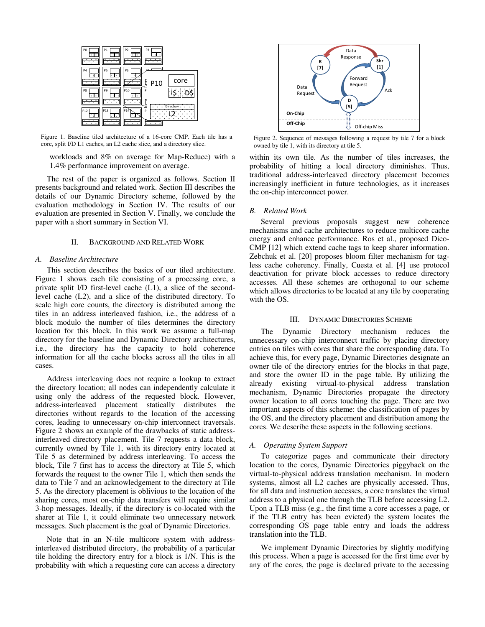

Figure 1. Baseline tiled architecture of a 16-core CMP. Each tile has a core, split I/D L1 caches, an L2 cache slice, and a directory slice.

workloads and 8% on average for Map-Reduce) with a 1.4% performance improvement on average.

The rest of the paper is organized as follows. Section II presents background and related work. Section III describes the details of our Dynamic Directory scheme, followed by the evaluation methodology in Section IV. The results of our evaluation are presented in Section V. Finally, we conclude the paper with a short summary in Section VI.

#### II. BACKGROUND AND RELATED WORK

## *A. Baseline Architecture*

This section describes the basics of our tiled architecture. Figure 1 shows each tile consisting of a processing core, a private split I/D first-level cache (L1), a slice of the secondlevel cache (L2), and a slice of the distributed directory. To scale high core counts, the directory is distributed among the tiles in an address interleaved fashion, i.e., the address of a block modulo the number of tiles determines the directory location for this block. In this work we assume a full-map directory for the baseline and Dynamic Directory architectures, i.e., the directory has the capacity to hold coherence information for all the cache blocks across all the tiles in all cases.

Address interleaving does not require a lookup to extract the directory location; all nodes can independently calculate it using only the address of the requested block. However, address-interleaved placement statically distributes the directories without regards to the location of the accessing cores, leading to unnecessary on-chip interconnect traversals. Figure 2 shows an example of the drawbacks of static addressinterleaved directory placement. Tile 7 requests a data block, currently owned by Tile 1, with its directory entry located at Tile 5 as determined by address interleaving. To access the block, Tile 7 first has to access the directory at Tile 5, which forwards the request to the owner Tile 1, which then sends the data to Tile 7 and an acknowledgement to the directory at Tile 5. As the directory placement is oblivious to the location of the sharing cores, most on-chip data transfers will require similar 3-hop messages. Ideally, if the directory is co-located with the sharer at Tile 1, it could eliminate two unnecessary network messages. Such placement is the goal of Dynamic Directories.

Note that in an N-tile multicore system with addressinterleaved distributed directory, the probability of a particular tile holding the directory entry for a block is 1/N. This is the probability with which a requesting core can access a directory



Figure 2. Sequence of messages following a request by tile 7 for a block owned by tile 1, with its directory at tile 5.

within its own tile. As the number of tiles increases, the probability of hitting a local directory diminishes. Thus, traditional address-interleaved directory placement becomes increasingly inefficient in future technologies, as it increases the on-chip interconnect power.

#### *B. Related Work*

Several previous proposals suggest new coherence mechanisms and cache architectures to reduce multicore cache energy and enhance performance. Ros et al., proposed Dico-CMP [12] which extend cache tags to keep sharer information. Zebchuk et al. [20] proposes bloom filter mechanism for tagless cache coherency. Finally, Cuesta et al. [4] use protocol deactivation for private block accesses to reduce directory accesses. All these schemes are orthogonal to our scheme which allows directories to be located at any tile by cooperating with the OS.

## III. DYNAMIC DIRECTORIES SCHEME

The Dynamic Directory mechanism reduces the unnecessary on-chip interconnect traffic by placing directory entries on tiles with cores that share the corresponding data. To achieve this, for every page, Dynamic Directories designate an owner tile of the directory entries for the blocks in that page, and store the owner ID in the page table. By utilizing the already existing virtual-to-physical address translation mechanism, Dynamic Directories propagate the directory owner location to all cores touching the page. There are two important aspects of this scheme: the classification of pages by the OS, and the directory placement and distribution among the cores. We describe these aspects in the following sections.

## *A. Operating System Support*

To categorize pages and communicate their directory location to the cores, Dynamic Directories piggyback on the virtual-to-physical address translation mechanism. In modern systems, almost all L2 caches are physically accessed. Thus, for all data and instruction accesses, a core translates the virtual address to a physical one through the TLB before accessing L2. Upon a TLB miss (e.g., the first time a core accesses a page, or if the TLB entry has been evicted) the system locates the corresponding OS page table entry and loads the address translation into the TLB.

We implement Dynamic Directories by slightly modifying this process. When a page is accessed for the first time ever by any of the cores, the page is declared private to the accessing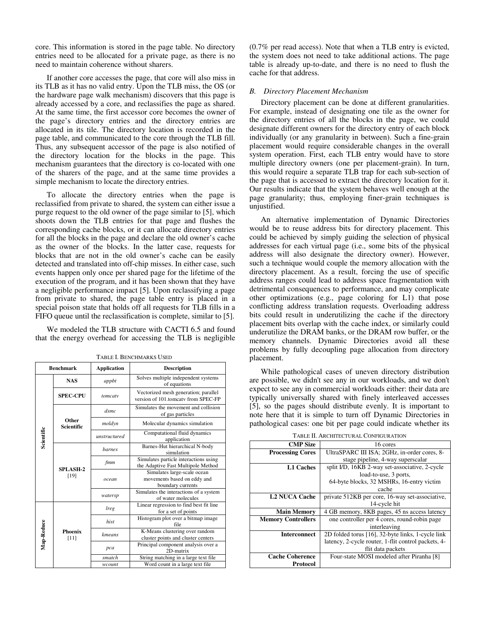core. This information is stored in the page table. No directory entries need to be allocated for a private page, as there is no need to maintain coherence without sharers.

If another core accesses the page, that core will also miss in its TLB as it has no valid entry. Upon the TLB miss, the OS (or the hardware page walk mechanism) discovers that this page is already accessed by a core, and reclassifies the page as shared. At the same time, the first accessor core becomes the owner of the page's directory entries and the directory entries are allocated in its tile. The directory location is recorded in the page table, and communicated to the core through the TLB fill. Thus, any subsequent accessor of the page is also notified of the directory location for the blocks in the page. This mechanism guarantees that the directory is co-located with one of the sharers of the page, and at the same time provides a simple mechanism to locate the directory entries.

To allocate the directory entries when the page is reclassified from private to shared, the system can either issue a purge request to the old owner of the page similar to [5], which shoots down the TLB entries for that page and flushes the corresponding cache blocks, or it can allocate directory entries for all the blocks in the page and declare the old owner's cache as the owner of the blocks. In the latter case, requests for blocks that are not in the old owner's cache can be easily detected and translated into off-chip misses. In either case, such events happen only once per shared page for the lifetime of the execution of the program, and it has been shown that they have a negligible performance impact [5]. Upon reclassifying a page from private to shared, the page table entry is placed in a special poison state that holds off all requests for TLB fills in a FIFO queue until the reclassification is complete, similar to [5].

We modeled the TLB structure with CACTI 6.5 and found that the energy overhead for accessing the TLB is negligible

| <b>Benchmark</b> |                          | <b>Application</b> | <b>Description</b>                                                              |
|------------------|--------------------------|--------------------|---------------------------------------------------------------------------------|
| Scientific       | <b>NAS</b>               | appbt              | Solves multiple independent systems<br>of equations                             |
|                  | <b>SPEC-CPU</b>          | tomcatv            | Vectorized mesh generation; parallel<br>version of 101.tomcatv from SPEC-FP     |
|                  | Other<br>Scientific      | dsmc               | Simulates the movement and collision<br>of gas particles                        |
|                  |                          | moldyn             | Molecular dynamics simulation                                                   |
|                  |                          | unstructured       | Computational fluid dynamics<br>application                                     |
|                  | SPLASH-2<br>[19]         | <i>barnes</i>      | Barnes-Hut hierarchical N-body<br>simulation                                    |
|                  |                          | fmm                | Simulates particle interactions using<br>the Adaptive Fast Multipole Method     |
|                  |                          | ocean              | Simulates large-scale ocean<br>movements based on eddy and<br>boundary currents |
|                  |                          | watersp            | Simulates the interactions of a system<br>of water molecules                    |
| Map-Reduce       | <b>Phoenix</b><br>$[11]$ | lreg               | Linear regression to find best fit line<br>for a set of points                  |
|                  |                          | hist               | Histogram plot over a bitmap image<br>file                                      |
|                  |                          | kmeans             | K-Means clustering over random<br>cluster points and cluster centers            |
|                  |                          | pca                | Principal component analysis over a<br>2D-matrix                                |
|                  |                          | smatch             | String matching in a large text file                                            |
|                  |                          | wcount             | Word count in a large text file                                                 |

TABLE I. BENCHMARKS USED

(0.7% per read access). Note that when a TLB entry is evicted, the system does not need to take additional actions. The page table is already up-to-date, and there is no need to flush the cache for that address.

#### *B. Directory Placement Mechanism*

Directory placement can be done at different granularities. For example, instead of designating one tile as the owner for the directory entries of all the blocks in the page, we could designate different owners for the directory entry of each block individually (or any granularity in between). Such a fine-grain placement would require considerable changes in the overall system operation. First, each TLB entry would have to store multiple directory owners (one per placement-grain). In turn, this would require a separate TLB trap for each sub-section of the page that is accessed to extract the directory location for it. Our results indicate that the system behaves well enough at the page granularity; thus, employing finer-grain techniques is unjustified.

An alternative implementation of Dynamic Directories would be to reuse address bits for directory placement. This could be achieved by simply guiding the selection of physical addresses for each virtual page (i.e., some bits of the physical address will also designate the directory owner). However, such a technique would couple the memory allocation with the directory placement. As a result, forcing the use of specific address ranges could lead to address space fragmentation with detrimental consequences to performance, and may complicate other optimizations (e.g., page coloring for L1) that pose conflicting address translation requests. Overloading address bits could result in underutilizing the cache if the directory placement bits overlap with the cache index, or similarly could underutilize the DRAM banks, or the DRAM row buffer, or the memory channels. Dynamic Directories avoid all these problems by fully decoupling page allocation from directory placement.

While pathological cases of uneven directory distribution are possible, we didn't see any in our workloads, and we don't expect to see any in commercial workloads either: their data are typically universally shared with finely interleaved accesses [5], so the pages should distribute evenly. It is important to note here that it is simple to turn off Dynamic Directories in pathological cases: one bit per page could indicate whether its

| TABLE II. ARCHITECTURAL CONFIGURATION |                                                     |  |  |
|---------------------------------------|-----------------------------------------------------|--|--|
| <b>CMP Size</b>                       | 16 cores                                            |  |  |
| <b>Processing Cores</b>               | UltraSPARC III ISA; 2GHz, in-order cores, 8-        |  |  |
|                                       | stage pipeline, 4-way superscalar                   |  |  |
| L1 Caches                             | split I/D, 16KB 2-way set-associative, 2-cycle      |  |  |
|                                       | load-to-use, 3 ports,                               |  |  |
|                                       | 64-byte blocks, 32 MSHRs, 16-entry victim           |  |  |
|                                       | cache                                               |  |  |
| <b>L2 NUCA Cache</b>                  | private 512KB per core, 16-way set-associative,     |  |  |
|                                       | 14-cycle hit                                        |  |  |
| <b>Main Memory</b>                    | 4 GB memory, 8KB pages, 45 ns access latency        |  |  |
| <b>Memory Controllers</b>             | one controller per 4 cores, round-robin page        |  |  |
|                                       | interleaving                                        |  |  |
| <b>Interconnect</b>                   | 2D folded torus [16], 32-byte links, 1-cycle link   |  |  |
|                                       | latency, 2-cycle router, 1-flit control packets, 4- |  |  |
|                                       | flit data packets                                   |  |  |
|                                       |                                                     |  |  |
| <b>Cache Coherence</b>                | Four-state MOSI modeled after Piranha [8]           |  |  |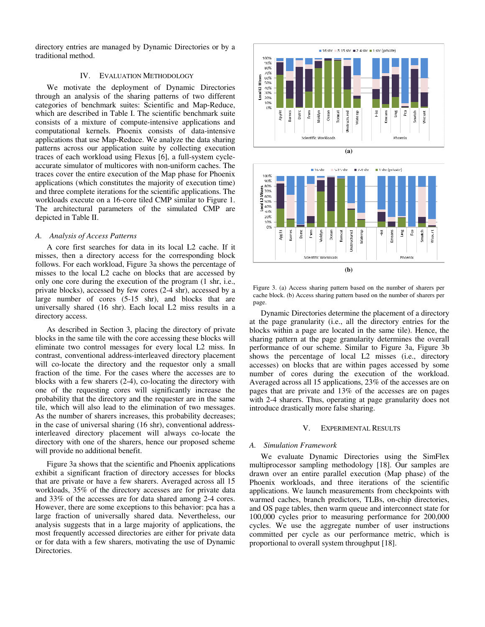directory entries are managed by Dynamic Directories or by a traditional method.

## IV. EVALUATION METHODOLOGY

We motivate the deployment of Dynamic Directories through an analysis of the sharing patterns of two different categories of benchmark suites: Scientific and Map-Reduce, which are described in Table I. The scientific benchmark suite consists of a mixture of compute-intensive applications and computational kernels. Phoenix consists of data-intensive applications that use Map-Reduce. We analyze the data sharing patterns across our application suite by collecting execution traces of each workload using Flexus [6], a full-system cycleaccurate simulator of multicores with non-uniform caches. The traces cover the entire execution of the Map phase for Phoenix applications (which constitutes the majority of execution time) and three complete iterations for the scientific applications. The workloads execute on a 16-core tiled CMP similar to Figure 1. The architectural parameters of the simulated CMP are depicted in Table II.

## *A. Analysis of Access Patterns*

A core first searches for data in its local L2 cache. If it misses, then a directory access for the corresponding block follows. For each workload, Figure 3a shows the percentage of misses to the local L2 cache on blocks that are accessed by only one core during the execution of the program (1 shr, i.e., private blocks), accessed by few cores (2-4 shr), accessed by a large number of cores (5-15 shr), and blocks that are universally shared (16 shr). Each local L2 miss results in a directory access.

As described in Section 3, placing the directory of private blocks in the same tile with the core accessing these blocks will eliminate two control messages for every local L2 miss. In contrast, conventional address-interleaved directory placement will co-locate the directory and the requestor only a small fraction of the time. For the cases where the accesses are to blocks with a few sharers (2-4), co-locating the directory with one of the requesting cores will significantly increase the probability that the directory and the requester are in the same tile, which will also lead to the elimination of two messages. As the number of sharers increases, this probability decreases; in the case of universal sharing (16 shr), conventional addressinterleaved directory placement will always co-locate the directory with one of the sharers, hence our proposed scheme will provide no additional benefit.

Figure 3a shows that the scientific and Phoenix applications exhibit a significant fraction of directory accesses for blocks that are private or have a few sharers. Averaged across all 15 workloads, 35% of the directory accesses are for private data and 33% of the accesses are for data shared among 2-4 cores. However, there are some exceptions to this behavior: pca has a large fraction of universally shared data. Nevertheless, our analysis suggests that in a large majority of applications, the most frequently accessed directories are either for private data or for data with a few sharers, motivating the use of Dynamic Directories.





Figure 3. (a) Access sharing pattern based on the number of sharers per cache block. (b) Access sharing pattern based on the number of sharers per page.

Dynamic Directories determine the placement of a directory at the page granularity (i.e., all the directory entries for the blocks within a page are located in the same tile). Hence, the sharing pattern at the page granularity determines the overall performance of our scheme. Similar to Figure 3a, Figure 3b shows the percentage of local L2 misses (i.e., directory accesses) on blocks that are within pages accessed by some number of cores during the execution of the workload. Averaged across all 15 applications, 23% of the accesses are on pages that are private and 13% of the accesses are on pages with 2-4 sharers. Thus, operating at page granularity does not introduce drastically more false sharing.

#### V. EXPERIMENTAL RESULTS

#### *A. Simulation Framework*

We evaluate Dynamic Directories using the SimFlex multiprocessor sampling methodology [18]. Our samples are drawn over an entire parallel execution (Map phase) of the Phoenix workloads, and three iterations of the scientific applications. We launch measurements from checkpoints with warmed caches, branch predictors, TLBs, on-chip directories, and OS page tables, then warm queue and interconnect state for 100,000 cycles prior to measuring performance for 200,000 cycles. We use the aggregate number of user instructions committed per cycle as our performance metric, which is proportional to overall system throughput [18].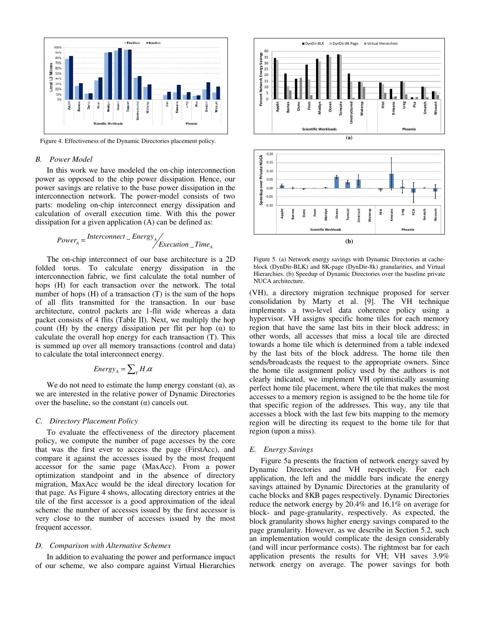

Figure 4. Effectiveness of the Dynamic Directories placement policy.

### *B. Power Model*

In this work we have modeled the on-chip interconnection power as opposed to the chip power dissipation. Hence, our power savings are relative to the base power dissipation in the interconnection network. The power-model consists of two parts: modeling on-chip interconnect energy dissipation and calculation of overall execution time. With this the power dissipation for a given application (A) can be defined as:

$$
Power_{A} = \frac{Interconnect\_Energy_{A}}{Exception\_Time_{A}}
$$

The on-chip interconnect of our base architecture is a 2D folded torus. To calculate energy dissipation in the interconnection fabric, we first calculate the total number of hops (H) for each transaction over the network. The total number of hops (H) of a transaction (T) is the sum of the hops of all flits transmitted for the transaction. In our base architecture, control packets are 1-flit wide whereas a data packet consists of 4 flits (Table II). Next, we multiply the hop count (H) by the energy dissipation per flit per hop  $(\alpha)$  to calculate the overall hop energy for each transaction (T). This is summed up over all memory transactions (control and data) to calculate the total interconnect energy.

$$
Energy_A = \sum_{T} H.\alpha
$$

We do not need to estimate the lump energy constant  $(\alpha)$ , as we are interested in the relative power of Dynamic Directories over the baseline, so the constant (α) cancels out.

#### *C. Directory Placement Policy*

To evaluate the effectiveness of the directory placement policy, we compute the number of page accesses by the core that was the first ever to access the page (FirstAcc), and compare it against the accesses issued by the most frequent accessor for the same page (MaxAcc). From a power optimization standpoint and in the absence of directory migration, MaxAcc would be the ideal directory location for that page. As Figure 4 shows, allocating directory entries at the tile of the first accessor is a good approximation of the ideal scheme: the number of accesses issued by the first accessor is very close to the number of accesses issued by the most frequent accessor.

## *D. Comparison with Alternative Schemes*

In addition to evaluating the power and performance impact of our scheme, we also compare against Virtual Hierarchies



**(b)** 

Scientific Workloads **Phoenix** 

Figure 5. (a) Network energy savings with Dynamic Directories at cacheblock (DynDir-BLK) and 8K-page (DynDir-8k) granularities, and Virtual Hierarchies. (b) Speedup of Dynamic Directories over the baseline private NUCA architecture.

(VH), a directory migration technique proposed for server consolidation by Marty et al. [9]. The VH technique implements a two-level data coherence policy using a hypervisor. VH assigns specific home tiles for each memory region that have the same last bits in their block address; in other words, all accesses that miss a local tile are directed towards a home tile which is determined from a table indexed by the last bits of the block address. The home tile then sends/broadcasts the request to the appropriate owners. Since the home tile assignment policy used by the authors is not clearly indicated, we implement VH optimistically assuming perfect home tile placement, where the tile that makes the most accesses to a memory region is assigned to be the home tile for that specific region of the addresses. This way, any tile that accesses a block with the last few bits mapping to the memory region will be directing its request to the home tile for that region (upon a miss).

#### *E. Energy Savings*

Figure 5a presents the fraction of network energy saved by Dynamic Directories and VH respectively. For each application, the left and the middle bars indicate the energy savings attained by Dynamic Directories at the granularity of cache blocks and 8KB pages respectively. Dynamic Directories reduce the network energy by 20.4% and 16.1% on average for block- and page-granularity, respectively. As expected, the block granularity shows higher energy savings compared to the page granularity. However, as we describe in Section 5.2, such an implementation would complicate the design considerably (and will incur performance costs). The rightmost bar for each application presents the results for VH; VH saves 3.9% network energy on average. The power savings for both